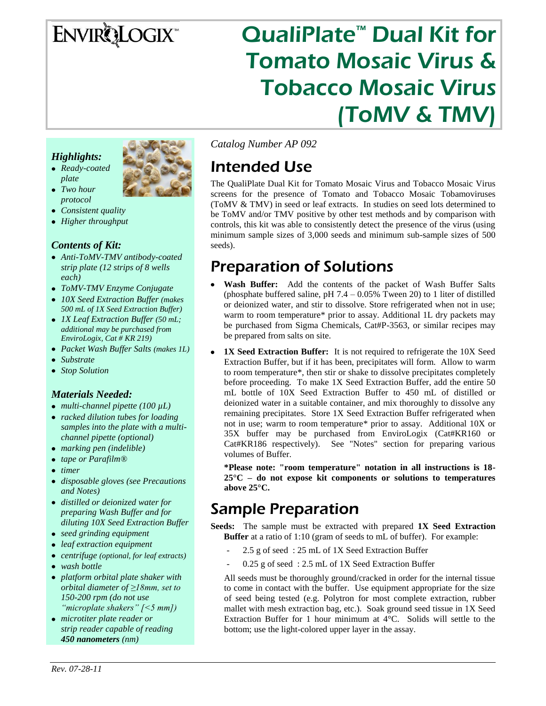# ENVIRQLOGIX

# QualiPlate<sup>™</sup> Dual Kit for Tomato Mosaic Virus & Tobacco Mosaic Virus (ToMV & TMV)

### *Highlights:*

- *Ready-coated plate Two hour*
- 
- *protocol Consistent quality*
- *Higher throughput*

### *Contents of Kit:*

- *Anti-ToMV-TMV antibody-coated strip plate (12 strips of 8 wells each)*
- *ToMV-TMV Enzyme Conjugate*
- *10X Seed Extraction Buffer (makes 500 mL of 1X Seed Extraction Buffer)*
- *1X Leaf Extraction Buffer (50 mL; additional may be purchased from EnviroLogix, Cat # KR 219)*
- *Packet Wash Buffer Salts (makes 1L)*
- *Substrate*
- *Stop Solution*

### *Materials Needed:*

- *multi-channel pipette (100 µL)*
- *racked dilution tubes for loading samples into the plate with a multichannel pipette (optional)*
- *marking pen (indelible)*
- *tape or Parafilm®*
- *timer*
- *disposable gloves (see Precautions and Notes)*
- *distilled or deionized water for preparing Wash Buffer and for diluting 10X Seed Extraction Buffer*
- *seed grinding equipment*
- *leaf extraction equipment*
- *centrifuge (optional, for leaf extracts)*
- *wash bottle*
- *platform orbital plate shaker with orbital diameter of ≥18mm, set to 150-200 rpm (do not use "microplate shakers" [<5 mm])*
- *microtiter plate reader or strip reader capable of reading 450 nanometers (nm)*

*Catalog Number AP 092*

## Intended Use

The QualiPlate Dual Kit for Tomato Mosaic Virus and Tobacco Mosaic Virus screens for the presence of Tomato and Tobacco Mosaic Tobamoviruses (ToMV & TMV) in seed or leaf extracts. In studies on seed lots determined to be ToMV and/or TMV positive by other test methods and by comparison with controls, this kit was able to consistently detect the presence of the virus (using minimum sample sizes of 3,000 seeds and minimum sub-sample sizes of 500 seeds).

## Preparation of Solutions

- **Wash Buffer:** Add the contents of the packet of Wash Buffer Salts (phosphate buffered saline, pH  $7.4 - 0.05\%$  Tween 20) to 1 liter of distilled or deionized water, and stir to dissolve. Store refrigerated when not in use; warm to room temperature\* prior to assay. Additional 1L dry packets may be purchased from Sigma Chemicals, Cat#P-3563, or similar recipes may be prepared from salts on site.
- **1X Seed Extraction Buffer:** It is not required to refrigerate the 10X Seed Extraction Buffer, but if it has been, precipitates will form. Allow to warm to room temperature\*, then stir or shake to dissolve precipitates completely before proceeding. To make 1X Seed Extraction Buffer, add the entire 50 mL bottle of 10X Seed Extraction Buffer to 450 mL of distilled or deionized water in a suitable container, and mix thoroughly to dissolve any remaining precipitates. Store 1X Seed Extraction Buffer refrigerated when not in use; warm to room temperature\* prior to assay. Additional 10X or 35X buffer may be purchased from EnviroLogix (Cat#KR160 or Cat#KR186 respectively). See "Notes" section for preparing various volumes of Buffer.

**\*Please note: "room temperature" notation in all instructions is 18- 25°C – do not expose kit components or solutions to temperatures above 25°C.**

## Sample Preparation

**Seeds:** The sample must be extracted with prepared **1X Seed Extraction Buffer** at a ratio of 1:10 (gram of seeds to mL of buffer). For example:

- 2.5 g of seed: 25 mL of 1X Seed Extraction Buffer
- 0.25 g of seed : 2.5 mL of 1X Seed Extraction Buffer

All seeds must be thoroughly ground/cracked in order for the internal tissue to come in contact with the buffer. Use equipment appropriate for the size of seed being tested (e.g. Polytron for most complete extraction, rubber mallet with mesh extraction bag, etc.). Soak ground seed tissue in 1X Seed Extraction Buffer for 1 hour minimum at 4°C. Solids will settle to the bottom; use the light-colored upper layer in the assay.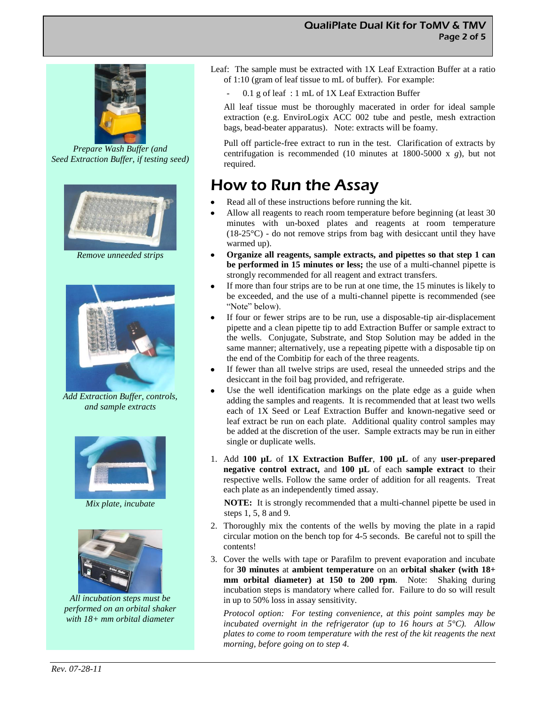

*Prepare Wash Buffer (and Seed Extraction Buffer, if testing seed)*



*Remove unneeded strips*



*Add Extraction Buffer, controls, and sample extracts*



*Mix plate, incubate*



*All incubation steps must be performed on an orbital shaker with 18+ mm orbital diameter*

- Leaf: The sample must be extracted with 1X Leaf Extraction Buffer at a ratio of 1:10 (gram of leaf tissue to mL of buffer). For example:
	- 0.1 g of leaf : 1 mL of 1X Leaf Extraction Buffer

All leaf tissue must be thoroughly macerated in order for ideal sample extraction (e.g. EnviroLogix ACC 002 tube and pestle, mesh extraction bags, bead-beater apparatus). Note: extracts will be foamy.

Pull off particle-free extract to run in the test. Clarification of extracts by centrifugation is recommended (10 minutes at 1800-5000 x *g*), but not required.

## How to Run the Assay

- Read all of these instructions before running the kit.
- Allow all reagents to reach room temperature before beginning (at least 30 minutes with un-boxed plates and reagents at room temperature  $(18-25\degree C)$  - do not remove strips from bag with desiccant until they have warmed up).
- **Organize all reagents, sample extracts, and pipettes so that step 1 can be performed in 15 minutes or less;** the use of a multi-channel pipette is strongly recommended for all reagent and extract transfers.
- If more than four strips are to be run at one time, the 15 minutes is likely to be exceeded, and the use of a multi-channel pipette is recommended (see "Note" below).
- If four or fewer strips are to be run, use a disposable-tip air-displacement pipette and a clean pipette tip to add Extraction Buffer or sample extract to the wells. Conjugate, Substrate, and Stop Solution may be added in the same manner; alternatively, use a repeating pipette with a disposable tip on the end of the Combitip for each of the three reagents.
- If fewer than all twelve strips are used, reseal the unneeded strips and the desiccant in the foil bag provided, and refrigerate.
- Use the well identification markings on the plate edge as a guide when adding the samples and reagents. It is recommended that at least two wells each of 1X Seed or Leaf Extraction Buffer and known-negative seed or leaf extract be run on each plate. Additional quality control samples may be added at the discretion of the user. Sample extracts may be run in either single or duplicate wells.
- 1. Add **100 µL** of **1X Extraction Buffer**, **100 µL** of any **user-prepared negative control extract,** and **100 µL** of each **sample extract** to their respective wells. Follow the same order of addition for all reagents. Treat each plate as an independently timed assay.

**NOTE:** It is strongly recommended that a multi-channel pipette be used in steps 1, 5, 8 and 9.

- 2. Thoroughly mix the contents of the wells by moving the plate in a rapid circular motion on the bench top for 4-5 seconds. Be careful not to spill the contents!
- 3. Cover the wells with tape or Parafilm to prevent evaporation and incubate for **30 minutes** at **ambient temperature** on an **orbital shaker (with 18+ mm orbital diameter) at 150 to 200 rpm**. Note: Shaking during incubation steps is mandatory where called for. Failure to do so will result in up to 50% loss in assay sensitivity.

*Protocol option: For testing convenience, at this point samples may be incubated overnight in the refrigerator (up to 16 hours at 5°C). Allow plates to come to room temperature with the rest of the kit reagents the next morning, before going on to step 4.*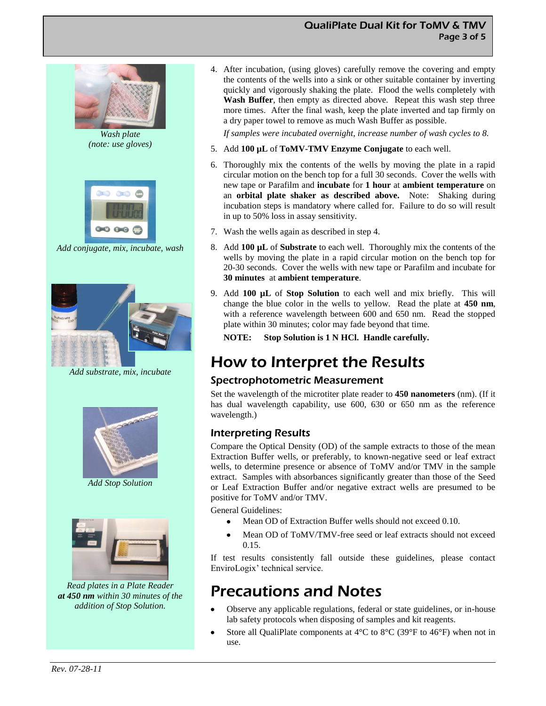



*Add conjugate, mix, incubate, wash*



*Add substrate, mix, incubate*



*Add Stop Solution*



*Read plates in a Plate Reader at 450 nm within 30 minutes of the addition of Stop Solution.*

4. After incubation, (using gloves) carefully remove the covering and empty the contents of the wells into a sink or other suitable container by inverting quickly and vigorously shaking the plate. Flood the wells completely with **Wash Buffer**, then empty as directed above. Repeat this wash step three more times. After the final wash, keep the plate inverted and tap firmly on a dry paper towel to remove as much Wash Buffer as possible.

QualiPlate Dual Kit for ToMV & TMV

Page 3 of 5

*If samples were incubated overnight, increase number of wash cycles to 8.*

- 5. Add **100 µL** of **ToMV-TMV Enzyme Conjugate** to each well.
- 6. Thoroughly mix the contents of the wells by moving the plate in a rapid circular motion on the bench top for a full 30 seconds. Cover the wells with new tape or Parafilm and **incubate** for **1 hour** at **ambient temperature** on an **orbital plate shaker as described above.** Note: Shaking during incubation steps is mandatory where called for. Failure to do so will result in up to 50% loss in assay sensitivity.
- 7. Wash the wells again as described in step 4.
- 8. Add **100 µL** of **Substrate** to each well. Thoroughly mix the contents of the wells by moving the plate in a rapid circular motion on the bench top for 20-30 seconds. Cover the wells with new tape or Parafilm and incubate for **30 minutes** at **ambient temperature**.
- 9. Add **100 µL** of **Stop Solution** to each well and mix briefly. This will change the blue color in the wells to yellow. Read the plate at **450 nm**, with a reference wavelength between 600 and 650 nm. Read the stopped plate within 30 minutes; color may fade beyond that time.
	- **NOTE: Stop Solution is 1 N HCl. Handle carefully.**

## How to Interpret the Results

### Spectrophotometric Measurement

Set the wavelength of the microtiter plate reader to **450 nanometers** (nm). (If it has dual wavelength capability, use 600, 630 or 650 nm as the reference wavelength.)

### Interpreting Results

Compare the Optical Density (OD) of the sample extracts to those of the mean Extraction Buffer wells, or preferably, to known-negative seed or leaf extract wells, to determine presence or absence of ToMV and/or TMV in the sample extract. Samples with absorbances significantly greater than those of the Seed or Leaf Extraction Buffer and/or negative extract wells are presumed to be positive for ToMV and/or TMV.

General Guidelines:

- Mean OD of Extraction Buffer wells should not exceed 0.10.
- Mean OD of ToMV/TMV-free seed or leaf extracts should not exceed 0.15.

If test results consistently fall outside these guidelines, please contact EnviroLogix' technical service.

## Precautions and Notes

- Observe any applicable regulations, federal or state guidelines, or in-house lab safety protocols when disposing of samples and kit reagents.
- Store all QualiPlate components at 4°C to 8°C (39°F to 46°F) when not in use.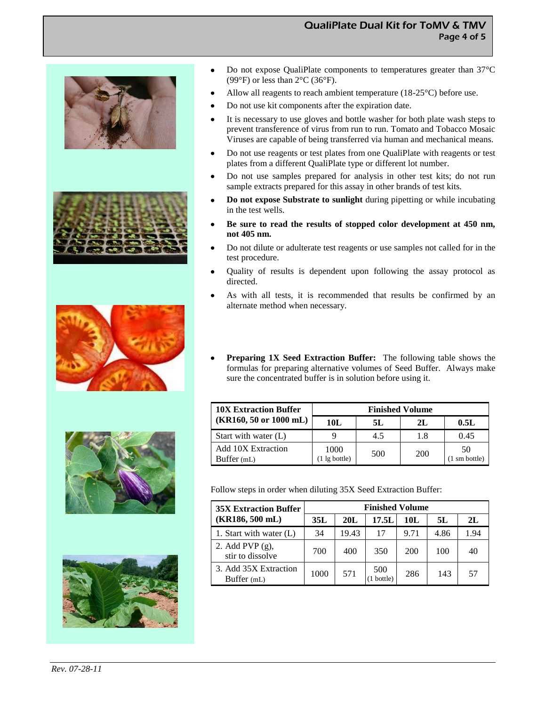### QualiPlate Dual Kit for ToMV & TMV Page 4 of 5











- $\bullet$ Do not expose QualiPlate components to temperatures greater than 37°C (99 $\rm\degree F$ ) or less than 2 $\rm\degree C$  (36 $\rm\degree F$ ).
- Allow all reagents to reach ambient temperature (18-25°C) before use.
- Do not use kit components after the expiration date.
- It is necessary to use gloves and bottle washer for both plate wash steps to prevent transference of virus from run to run. Tomato and Tobacco Mosaic Viruses are capable of being transferred via human and mechanical means.
- Do not use reagents or test plates from one QualiPlate with reagents or test plates from a different QualiPlate type or different lot number.
- Do not use samples prepared for analysis in other test kits; do not run sample extracts prepared for this assay in other brands of test kits.
- **Do not expose Substrate to sunlight** during pipetting or while incubating in the test wells.
- **Be sure to read the results of stopped color development at 450 nm, not 405 nm.**
- Do not dilute or adulterate test reagents or use samples not called for in the test procedure.
- Quality of results is dependent upon following the assay protocol as directed.
- As with all tests, it is recommended that results be confirmed by an alternate method when necessary.
- **Preparing 1X Seed Extraction Buffer:** The following table shows the formulas for preparing alternative volumes of Seed Buffer. Always make sure the concentrated buffer is in solution before using it.

| <b>10X Extraction Buffer</b>              | <b>Finished Volume</b>          |     |            |                               |  |  |
|-------------------------------------------|---------------------------------|-----|------------|-------------------------------|--|--|
| $(KR160, 50 \text{ or } 1000 \text{ mL})$ | 10L                             | 5L  | 2L         | 0.5L                          |  |  |
| Start with water (L)                      |                                 | 4.5 | 1.8        | 0.45                          |  |  |
| <b>Add 10X Extraction</b><br>Buffer (mL)  | 1000<br>$(1 \lg \text{bottle})$ | 500 | <b>200</b> | 50<br>$(1 \text{ sm bottle})$ |  |  |

Follow steps in order when diluting 35X Seed Extraction Buffer:

| <b>35X Extraction Buffer</b>           | <b>Finished Volume</b> |       |                |      |      |      |  |
|----------------------------------------|------------------------|-------|----------------|------|------|------|--|
| $(KR186, 500$ mL)                      | 35L                    | 20L   | 17.5L          | 10L  | 5L   | 2L   |  |
| 1. Start with water $(L)$              | 34                     | 19.43 | 17             | 9.71 | 4.86 | 1.94 |  |
| 2. Add PVP $(g)$ ,<br>stir to dissolve | 700                    | 400   | 350            | 200  | 100  | 40   |  |
| 3. Add 35X Extraction<br>Buffer (mL)   | 1000                   | 571   | 500<br>bottle) | 286  | 143  | 57   |  |